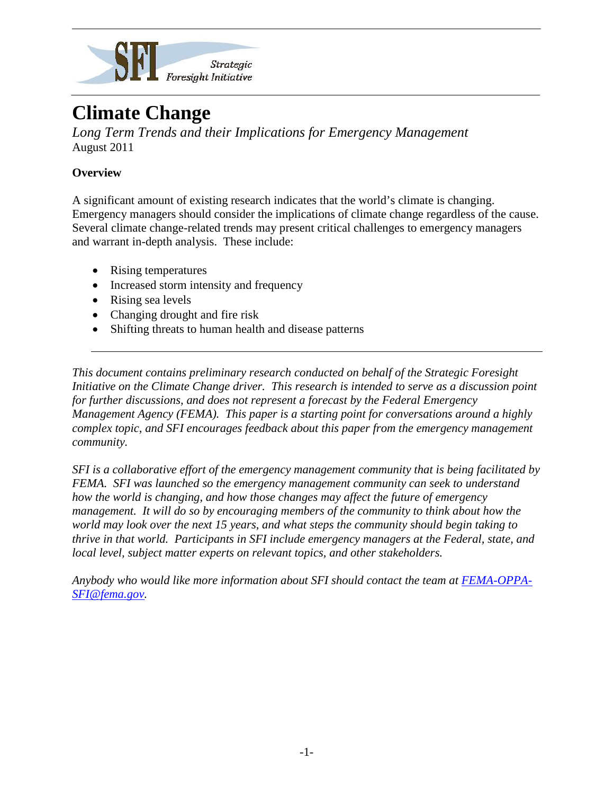

# **Climate Change**

*Long Term Trends and their Implications for Emergency Management* August 2011

## **Overview**

A significant amount of existing research indicates that the world's climate is changing. Emergency managers should consider the implications of climate change regardless of the cause. Several climate change-related trends may present critical challenges to emergency managers and warrant in-depth analysis. These include:

- Rising temperatures
- Increased storm intensity and frequency
- Rising sea levels
- Changing drought and fire risk
- Shifting threats to human health and disease patterns

*This document contains preliminary research conducted on behalf of the Strategic Foresight Initiative on the Climate Change driver. This research is intended to serve as a discussion point for further discussions, and does not represent a forecast by the Federal Emergency Management Agency (FEMA). This paper is a starting point for conversations around a highly complex topic, and SFI encourages feedback about this paper from the emergency management community.*

*SFI is a collaborative effort of the emergency management community that is being facilitated by FEMA. SFI was launched so the emergency management community can seek to understand how the world is changing, and how those changes may affect the future of emergency management. It will do so by encouraging members of the community to think about how the world may look over the next 15 years, and what steps the community should begin taking to thrive in that world. Participants in SFI include emergency managers at the Federal, state, and local level, subject matter experts on relevant topics, and other stakeholders.*

*Anybody who would like more information about SFI should contact the team at [FEMA-OPPA-](mailto:FEMA-OPPA-SFI@fema.gov)[SFI@fema.gov.](mailto:FEMA-OPPA-SFI@fema.gov)*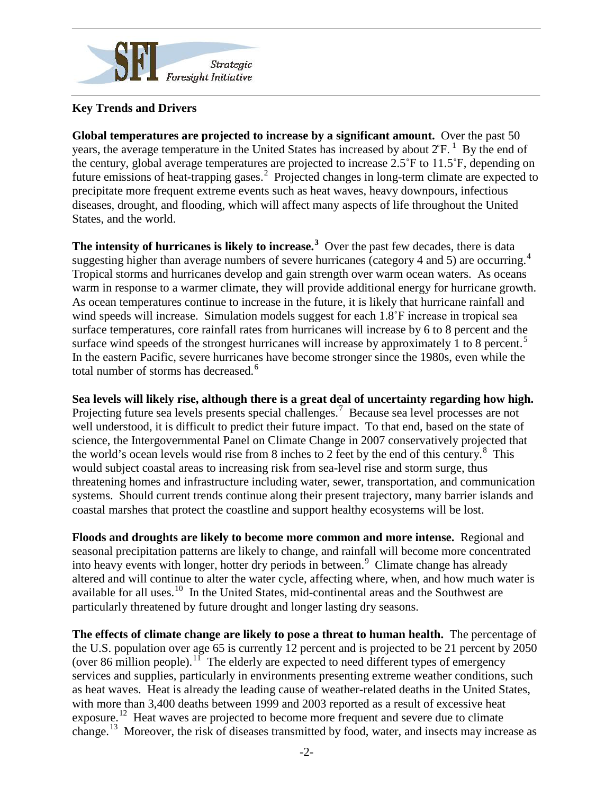

### **Key Trends and Drivers**

**Global temperatures are projected to increase by a significant amount.** Over the past 50 years, the average temperature in the United States has increased by about  $2<sup>°</sup>F<sup>-1</sup>$  $2<sup>°</sup>F<sup>-1</sup>$  $2<sup>°</sup>F<sup>-1</sup>$  By the end of the century, global average temperatures are projected to increase 2.5˚F to 11.5˚F, depending on future emissions of heat-trapping gases.<sup>[2](#page-4-1)</sup> Projected changes in long-term climate are expected to precipitate more frequent extreme events such as heat waves, heavy downpours, infectious diseases, drought, and flooding, which will affect many aspects of life throughout the United States, and the world.

The intensity of hurricanes is likely to increase.<sup>[3](#page-4-2)</sup> Over the past few decades, there is data suggesting higher than average numbers of severe hurricanes (category [4](#page-4-3) and 5) are occurring.<sup>4</sup> Tropical storms and hurricanes develop and gain strength over warm ocean waters. As oceans warm in response to a warmer climate, they will provide additional energy for hurricane growth. As ocean temperatures continue to increase in the future, it is likely that hurricane rainfall and wind speeds will increase. Simulation models suggest for each 1.8°F increase in tropical sea surface temperatures, core rainfall rates from hurricanes will increase by 6 to 8 percent and the surface wind speeds of the strongest hurricanes will increase by approximately  $1$  to 8 percent.<sup>[5](#page-4-4)</sup> In the eastern Pacific, severe hurricanes have become stronger since the 1980s, even while the total number of storms has decreased.<sup>[6](#page-4-5)</sup>

**Sea levels will likely rise, although there is a great deal of uncertainty regarding how high.**  Projecting future sea levels presents special challenges.<sup>[7](#page-4-6)</sup> Because sea level processes are not well understood, it is difficult to predict their future impact. To that end, based on the state of science, the Intergovernmental Panel on Climate Change in 2007 conservatively projected that the world's ocean levels would rise from [8](#page-4-7) inches to 2 feet by the end of this century. $8$  This would subject coastal areas to increasing risk from sea-level rise and storm surge, thus threatening homes and infrastructure including water, sewer, transportation, and communication systems. Should current trends continue along their present trajectory, many barrier islands and coastal marshes that protect the coastline and support healthy ecosystems will be lost.

**Floods and droughts are likely to become more common and more intense.** Regional and seasonal precipitation patterns are likely to change, and rainfall will become more concentrated into heavy events with longer, hotter dry periods in between.<sup>[9](#page-4-8)</sup> Climate change has already altered and will continue to alter the water cycle, affecting where, when, and how much water is available for all uses.<sup>10</sup> In the United States, mid-continental areas and the Southwest are particularly threatened by future drought and longer lasting dry seasons.

**The effects of climate change are likely to pose a threat to human health.** The percentage of the U.S. population over age 65 is currently 12 percent and is projected to be 21 percent by 2050 (over 86 million people).[11](#page-4-10)The elderly are expected to need different types of emergency services and supplies, particularly in environments presenting extreme weather conditions, such as heat waves. Heat is already the leading cause of weather-related deaths in the United States, with more than 3,400 deaths between 1999 and 2003 reported as a result of excessive heat exposure.<sup>12</sup> Heat waves are projected to become more frequent and severe due to climate change.[13](#page-4-12) Moreover, the risk of diseases transmitted by food, water, and insects may increase as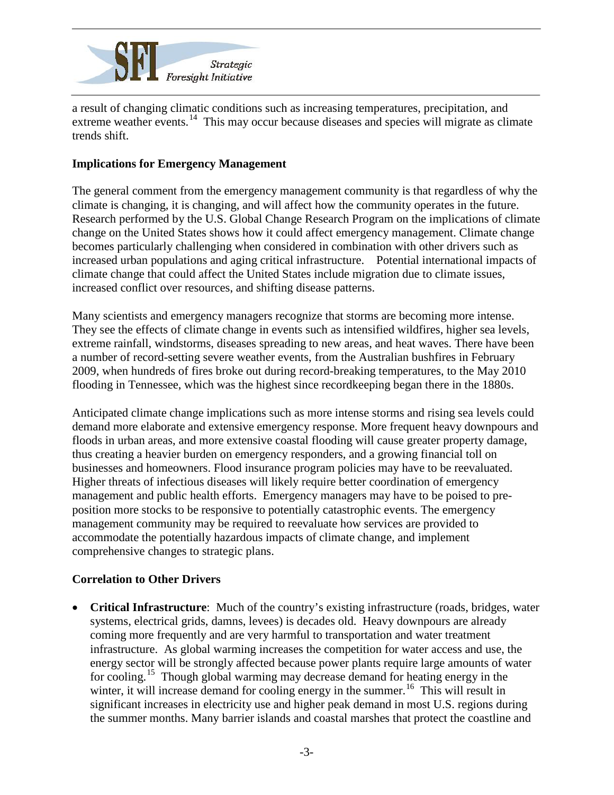

a result of changing climatic conditions such as increasing temperatures, precipitation, and extreme weather events.<sup>14</sup> This may occur because diseases and species will migrate as climate trends shift.

#### **Implications for Emergency Management**

The general comment from the emergency management community is that regardless of why the climate is changing, it is changing, and will affect how the community operates in the future. Research performed by the U.S. Global Change Research Program on the implications of climate change on the United States shows how it could affect emergency management. Climate change becomes particularly challenging when considered in combination with other drivers such as increased urban populations and aging critical infrastructure. Potential international impacts of climate change that could affect the United States include migration due to climate issues, increased conflict over resources, and shifting disease patterns.

Many scientists and emergency managers recognize that storms are becoming more intense. They see the effects of climate change in events such as intensified wildfires, higher sea levels, extreme rainfall, windstorms, diseases spreading to new areas, and heat waves. There have been a number of record-setting severe weather events, from the Australian bushfires in February 2009, when hundreds of fires broke out during record-breaking temperatures, to the May 2010 flooding in Tennessee, which was the highest since recordkeeping began there in the 1880s.

Anticipated climate change implications such as more intense storms and rising sea levels could demand more elaborate and extensive emergency response. More frequent heavy downpours and floods in urban areas, and more extensive coastal flooding will cause greater property damage, thus creating a heavier burden on emergency responders, and a growing financial toll on businesses and homeowners. Flood insurance program policies may have to be reevaluated. Higher threats of infectious diseases will likely require better coordination of emergency management and public health efforts. Emergency managers may have to be poised to preposition more stocks to be responsive to potentially catastrophic events. The emergency management community may be required to reevaluate how services are provided to accommodate the potentially hazardous impacts of climate change, and implement comprehensive changes to strategic plans.

#### **Correlation to Other Drivers**

• **Critical Infrastructure**: Much of the country's existing infrastructure (roads, bridges, water systems, electrical grids, damns, levees) is decades old. Heavy downpours are already coming more frequently and are very harmful to transportation and water treatment infrastructure. As global warming increases the competition for water access and use, the energy sector will be strongly affected because power plants require large amounts of water for cooling.<sup>15</sup> Though global warming may decrease demand for heating energy in the winter, it will increase demand for cooling energy in the summer.<sup>[16](#page-4-15)</sup> This will result in significant increases in electricity use and higher peak demand in most U.S. regions during the summer months. Many barrier islands and coastal marshes that protect the coastline and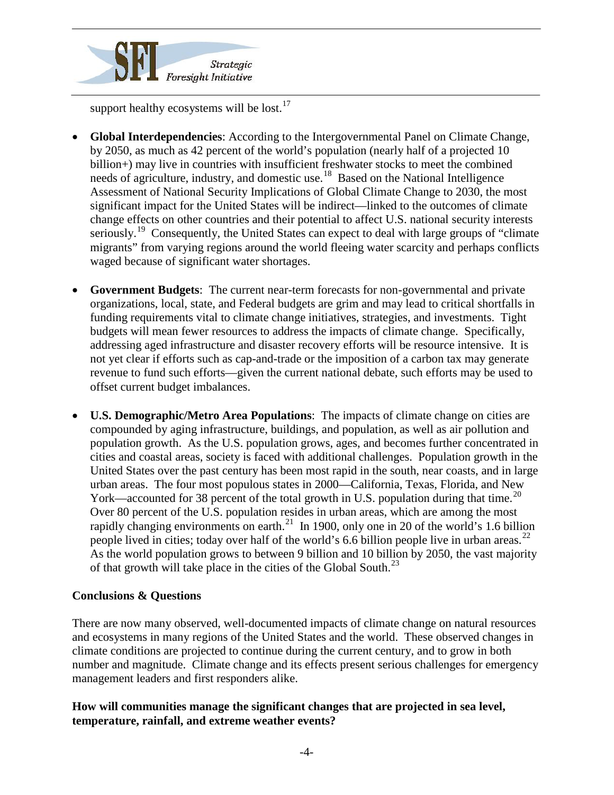

support healthy ecosystems will be lost.<sup>[17](#page-4-16)</sup>

- **Global Interdependencies**: According to the Intergovernmental Panel on Climate Change, by 2050, as much as 42 percent of the world's population (nearly half of a projected 10 billion+) may live in countries with insufficient freshwater stocks to meet the combined needs of agriculture, industry, and domestic use.<sup>18</sup> Based on the National Intelligence Assessment of National Security Implications of Global Climate Change to 2030, the most significant impact for the United States will be indirect—linked to the outcomes of climate change effects on other countries and their potential to affect U.S. national security interests seriously.<sup>[19](#page-4-18)</sup> Consequently, the United States can expect to deal with large groups of "climate migrants" from varying regions around the world fleeing water scarcity and perhaps conflicts waged because of significant water shortages.
- **Government Budgets**: The current near-term forecasts for non-governmental and private organizations, local, state, and Federal budgets are grim and may lead to critical shortfalls in funding requirements vital to climate change initiatives, strategies, and investments. Tight budgets will mean fewer resources to address the impacts of climate change. Specifically, addressing aged infrastructure and disaster recovery efforts will be resource intensive. It is not yet clear if efforts such as cap-and-trade or the imposition of a carbon tax may generate revenue to fund such efforts—given the current national debate, such efforts may be used to offset current budget imbalances.
- **U.S. Demographic/Metro Area Populations**: The impacts of climate change on cities are compounded by aging infrastructure, buildings, and population, as well as air pollution and population growth. As the U.S. population grows, ages, and becomes further concentrated in cities and coastal areas, society is faced with additional challenges. Population growth in the United States over the past century has been most rapid in the south, near coasts, and in large urban areas. The four most populous states in 2000—California, Texas, Florida, and New York—accounted for 38 percent of the total growth in U.S. population during that time.<sup>[20](#page-4-19)</sup> Over 80 percent of the U.S. population resides in urban areas, which are among the most rapidly changing environments on earth.<sup>21</sup> In 1900, only one in 20 of the world's 1.6 billion people lived in cities; today over half of the world's 6.6 billion people live in urban areas.<sup>[22](#page-4-21)</sup> As the world population grows to between 9 billion and 10 billion by 2050, the vast majority of that growth will take place in the cities of the Global South.<sup>[23](#page-4-22)</sup>

#### **Conclusions & Questions**

There are now many observed, well-documented impacts of climate change on natural resources and ecosystems in many regions of the United States and the world. These observed changes in climate conditions are projected to continue during the current century, and to grow in both number and magnitude. Climate change and its effects present serious challenges for emergency management leaders and first responders alike.

#### **How will communities manage the significant changes that are projected in sea level, temperature, rainfall, and extreme weather events?**